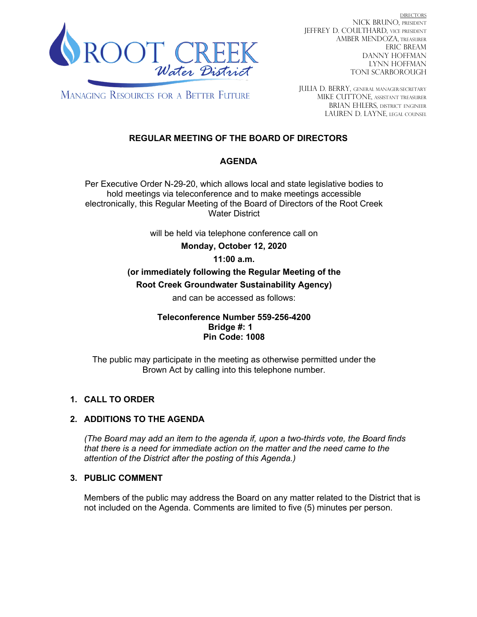

DIRECTORS NICK BRUNO, PRESIDENT JEFFREY D. COULTHARD, Vice President AMBER MENDOZA, TREASURER ERIC BREAM DANNY HOFFMAN LYNN HOFFMAN TONI SCARBOROUGH

**MANAGING RESOURCES FOR A BETTER FUTURE** 

JULIA D. BERRY, GENERAL MANAGER/secretary MIKE CUTTONE, Assistant treasurer BRIAN EHLERS, DISTRICT ENGINEER LAUREN D. LAYNE, LEGAL COUNSEL

## **REGULAR MEETING OF THE BOARD OF DIRECTORS**

## **AGENDA**

Per Executive Order N-29-20, which allows local and state legislative bodies to hold meetings via teleconference and to make meetings accessible electronically, this Regular Meeting of the Board of Directors of the Root Creek Water District

will be held via telephone conference call on

**Monday, October 12, 2020** 

## **11:00 a.m.**

# **(or immediately following the Regular Meeting of the**

**Root Creek Groundwater Sustainability Agency)**

and can be accessed as follows:

**Teleconference Number 559-256-4200 Bridge #: 1 Pin Code: 1008**

The public may participate in the meeting as otherwise permitted under the Brown Act by calling into this telephone number.

## **1. CALL TO ORDER**

## **2. ADDITIONS TO THE AGENDA**

*(The Board may add an item to the agenda if, upon a two-thirds vote, the Board finds that there is a need for immediate action on the matter and the need came to the attention of the District after the posting of this Agenda.)*

## **3. PUBLIC COMMENT**

Members of the public may address the Board on any matter related to the District that is not included on the Agenda. Comments are limited to five (5) minutes per person.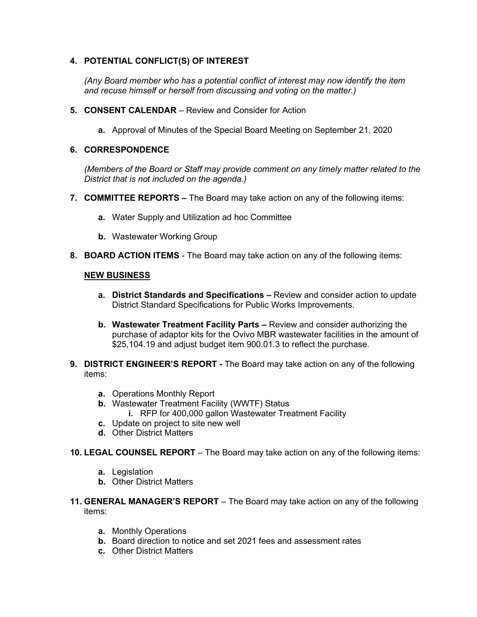## **4. POTENTIAL CONFLICT(S) OF INTEREST**

*(Any Board member who has a potential conflict of interest may now identify the item and recuse himself or herself from discussing and voting on the matter.)*

- **5. CONSENT CALENDAR**  Review and Consider for Action
	- **a.** Approval of Minutes of the Special Board Meeting on September 21, 2020

#### **6. CORRESPONDENCE**

*(Members of the Board or Staff may provide comment on any timely matter related to the District that is not included on the agenda.)*

- **7. COMMITTEE REPORTS –** The Board may take action on any of the following items:
	- **a.** Water Supply and Utilization ad hoc Committee
	- **b.** Wastewater Working Group
- **8. BOARD ACTION ITEMS**  The Board may take action on any of the following items:

#### **NEW BUSINESS**

- **a. District Standards and Specifications –** Review and consider action to update District Standard Specifications for Public Works Improvements.
- **b. Wastewater Treatment Facility Parts –** Review and consider authorizing the purchase of adaptor kits for the Ovivo MBR wastewater facilities in the amount of \$25,104.19 and adjust budget item 900.01.3 to reflect the purchase.
- **9. DISTRICT ENGINEER'S REPORT -** The Board may take action on any of the following items:
	- **a.** Operations Monthly Report
	- **b.** Wastewater Treatment Facility (WWTF) Status
		- **i.** RFP for 400,000 gallon Wastewater Treatment Facility
	- **c.** Update on project to site new well
	- **d.** Other District Matters
- **10. LEGAL COUNSEL REPORT** The Board may take action on any of the following items:
	- **a.** Legislation
	- **b.** Other District Matters
- **11. GENERAL MANAGER'S REPORT** The Board may take action on any of the following items:
	- **a.** Monthly Operations
	- **b.** Board direction to notice and set 2021 fees and assessment rates
	- **c.** Other District Matters